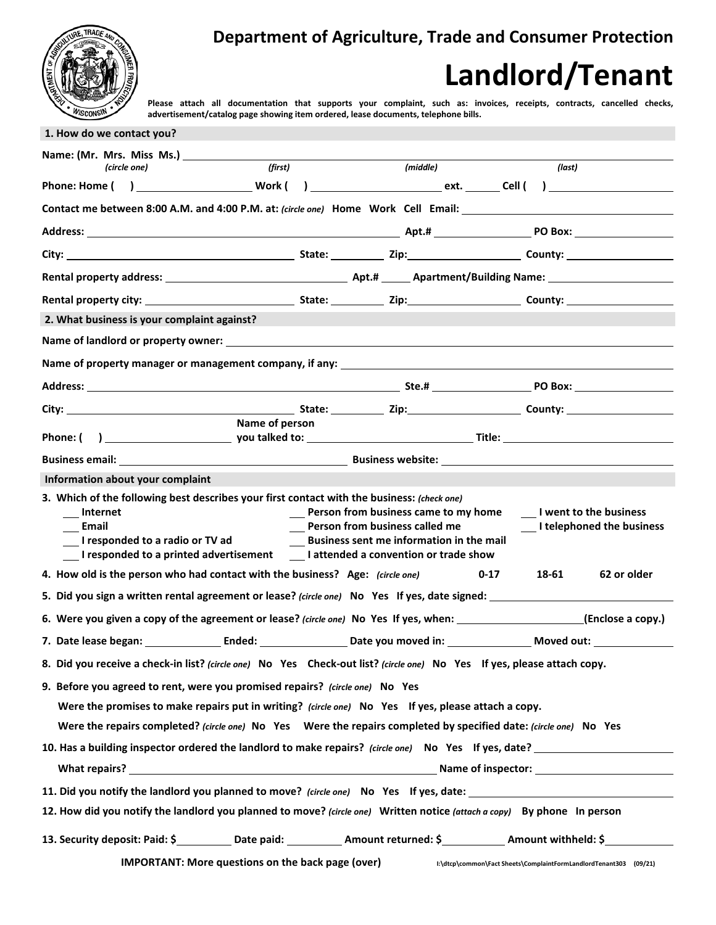

## **Department of Agriculture, Trade and Consumer Protection**

## **Landlord/Tenant**

**Please attach all documentation that supports your complaint, such as: invoices, receipts, contracts, cancelled checks, advertisement/catalog page showing item ordered, lease documents, telephone bills.**

| Name: (Mr. Mrs. Miss Ms.)<br>(first)                                                                                                                                                                                              |                                                                                                                                                                                                        |      |                                                                   |                           |
|-----------------------------------------------------------------------------------------------------------------------------------------------------------------------------------------------------------------------------------|--------------------------------------------------------------------------------------------------------------------------------------------------------------------------------------------------------|------|-------------------------------------------------------------------|---------------------------|
| (circle one)                                                                                                                                                                                                                      | (middle)                                                                                                                                                                                               |      | (last)                                                            |                           |
|                                                                                                                                                                                                                                   |                                                                                                                                                                                                        |      |                                                                   |                           |
| Contact me between 8:00 A.M. and 4:00 P.M. at: (circle one) Home Work Cell Email: 1. The match of the state of                                                                                                                    |                                                                                                                                                                                                        |      |                                                                   |                           |
|                                                                                                                                                                                                                                   |                                                                                                                                                                                                        |      |                                                                   |                           |
|                                                                                                                                                                                                                                   |                                                                                                                                                                                                        |      |                                                                   |                           |
|                                                                                                                                                                                                                                   |                                                                                                                                                                                                        |      |                                                                   |                           |
|                                                                                                                                                                                                                                   |                                                                                                                                                                                                        |      |                                                                   |                           |
| 2. What business is your complaint against?                                                                                                                                                                                       |                                                                                                                                                                                                        |      |                                                                   |                           |
|                                                                                                                                                                                                                                   |                                                                                                                                                                                                        |      |                                                                   |                           |
| Name of property manager or management company, if any: Name of the state of property management of the state o                                                                                                                   |                                                                                                                                                                                                        |      |                                                                   |                           |
|                                                                                                                                                                                                                                   |                                                                                                                                                                                                        |      |                                                                   |                           |
|                                                                                                                                                                                                                                   |                                                                                                                                                                                                        |      |                                                                   |                           |
| <b>Name of person</b>                                                                                                                                                                                                             |                                                                                                                                                                                                        |      |                                                                   |                           |
|                                                                                                                                                                                                                                   |                                                                                                                                                                                                        |      |                                                                   |                           |
| Business email: National Communication of the Business website: National Communication of the Business website:                                                                                                                   |                                                                                                                                                                                                        |      |                                                                   |                           |
| Information about your complaint                                                                                                                                                                                                  |                                                                                                                                                                                                        |      |                                                                   |                           |
| 3. Which of the following best describes your first contact with the business: (check one)<br>Internet<br>Email<br>I responded to a radio or TV ad<br>I responded to a printed advertisement lattended a convention or trade show | <b>Example 15 Place Serve Travel Serve Travel Serve Travel Serve Travel Server</b> Prence Travel Prence Travel Prence<br>__ Person from business called me<br>Business sent me information in the mail |      | I went to the business                                            | I telephoned the business |
| 4. How old is the person who had contact with the business? Age: (circle one)                                                                                                                                                     |                                                                                                                                                                                                        | 0-17 | 18-61                                                             | 62 or older               |
| 5. Did you sign a written rental agreement or lease? (circle one) No Yes If yes, date signed: 1999 1999 1999 19                                                                                                                   |                                                                                                                                                                                                        |      |                                                                   |                           |
| 6. Were you given a copy of the agreement or lease? (circle one) No Yes If yes, when: ________________________(Enclose a copy.)                                                                                                   |                                                                                                                                                                                                        |      |                                                                   |                           |
| 7. Date lease began: The Linds of Ended: The Linds of Date you moved in: The Linds of Moved out:                                                                                                                                  |                                                                                                                                                                                                        |      |                                                                   |                           |
| 8. Did you receive a check-in list? (circle one) No Yes Check-out list? (circle one) No Yes If yes, please attach copy.                                                                                                           |                                                                                                                                                                                                        |      |                                                                   |                           |
| 9. Before you agreed to rent, were you promised repairs? (circle one) No Yes                                                                                                                                                      |                                                                                                                                                                                                        |      |                                                                   |                           |
| Were the promises to make repairs put in writing? (circle one) No Yes If yes, please attach a copy.                                                                                                                               |                                                                                                                                                                                                        |      |                                                                   |                           |
| Were the repairs completed? (circle one) No Yes Were the repairs completed by specified date: (circle one) No Yes                                                                                                                 |                                                                                                                                                                                                        |      |                                                                   |                           |
| 10. Has a building inspector ordered the landlord to make repairs? (circle one) No Yes If yes, date?                                                                                                                              |                                                                                                                                                                                                        |      |                                                                   |                           |
|                                                                                                                                                                                                                                   |                                                                                                                                                                                                        |      |                                                                   |                           |
|                                                                                                                                                                                                                                   |                                                                                                                                                                                                        |      |                                                                   |                           |
| 12. How did you notify the landlord you planned to move? (circle one) Written notice (attach a copy) By phone In person                                                                                                           |                                                                                                                                                                                                        |      |                                                                   |                           |
| 13. Security deposit: Paid: \$___________Date paid: ____________Amount returned: \$____________Amount withheld: \$________                                                                                                        |                                                                                                                                                                                                        |      |                                                                   |                           |
| <b>IMPORTANT: More questions on the back page (over)</b>                                                                                                                                                                          |                                                                                                                                                                                                        |      | I:\dtcp\common\Fact Sheets\ComplaintFormLandlordTenant303 (09/21) |                           |